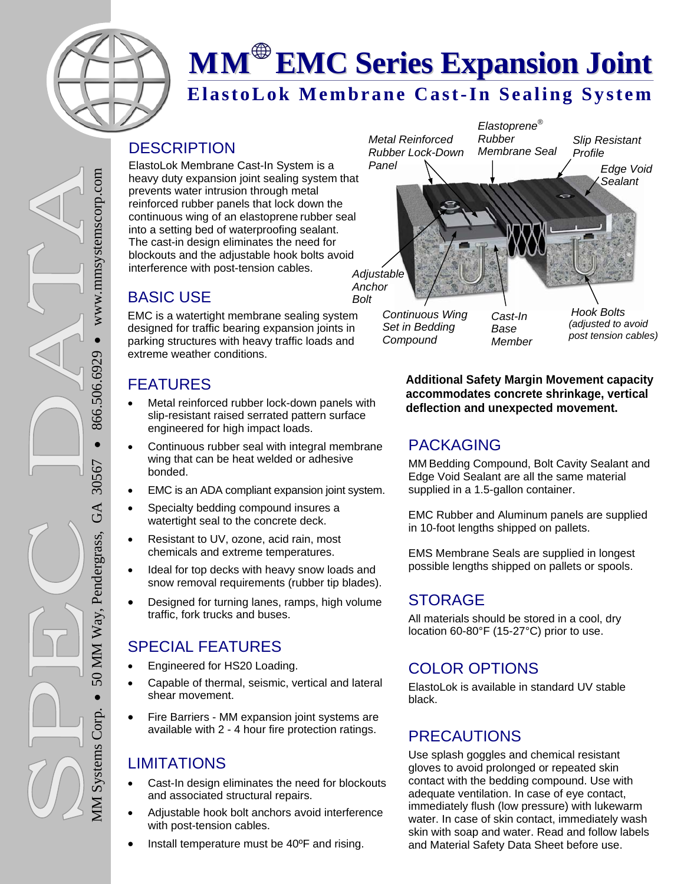

# **MM EMC Series Expansion Joint**

### **ElastoLok Membrane Cast-In Sealing System**

#### **DESCRIPTION**

ElastoLok Membrane Cast-In System is a heavy duty expansion joint sealing system that prevents water intrusion through metal reinforced rubber panels that lock down the continuous wing of an elastoprene rubber seal into a setting bed of waterproofing sealant. The cast-in design eliminates the need for blockouts and the adjustable hook bolts avoid interference with post-tension cables.

#### BASIC USE

EMC is a watertight membrane sealing system designed for traffic bearing expansion joints in parking structures with heavy traffic loads and extreme weather conditions.

#### FEATURES

- Metal reinforced rubber lock-down panels with slip-resistant raised serrated pattern surface engineered for high impact loads.
- Continuous rubber seal with integral membrane wing that can be heat welded or adhesive bonded.
- EMC is an ADA compliant expansion joint system.
- Specialty bedding compound insures a watertight seal to the concrete deck.
- Resistant to UV, ozone, acid rain, most chemicals and extreme temperatures.
- Ideal for top decks with heavy snow loads and snow removal requirements (rubber tip blades).
- Designed for turning lanes, ramps, high volume traffic, fork trucks and buses.

#### SPECIAL FEATURES

- Engineered for HS20 Loading.
- Capable of thermal, seismic, vertical and lateral shear movement.
- Fire Barriers MM expansion joint systems are available with 2 - 4 hour fire protection ratings.

#### LIMITATIONS

MM Systems Corp.

**MM** Systems Corp.

• 50 MM Way, Pendergrass, GA 30567

50 MM Way, Pendergrass,

• 866.506.6929

 $\bullet$ 

30567

GA

866.506.6929

 $\bullet$ 

• www.mmsystemscorp.com

www.mmsystemscorp.com

- Cast-In design eliminates the need for blockouts and associated structural repairs.
- Adjustable hook bolt anchors avoid interference with post-tension cables.
- Install temperature must be 40ºF and rising.



*Base Member*

*Continuous Wing Set in Bedding Compound* 

*(adjusted to avoid post tension cables)*

**Additional Safety Margin Movement capacity accommodates concrete shrinkage, vertical deflection and unexpected movement.**

#### PACKAGING

MM Bedding Compound, Bolt Cavity Sealant and Edge Void Sealant are all the same material supplied in a 1.5-gallon container.

EMC Rubber and Aluminum panels are supplied in 10-foot lengths shipped on pallets.

EMS Membrane Seals are supplied in longest possible lengths shipped on pallets or spools.

#### **STORAGE**

All materials should be stored in a cool, dry location 60-80°F (15-27°C) prior to use.

#### COLOR OPTIONS

ElastoLok is available in standard UV stable black.

#### PRECAUTIONS

Use splash goggles and chemical resistant gloves to avoid prolonged or repeated skin contact with the bedding compound. Use with adequate ventilation. In case of eye contact, immediately flush (low pressure) with lukewarm water. In case of skin contact, immediately wash skin with soap and water. Read and follow labels and Material Safety Data Sheet before use.